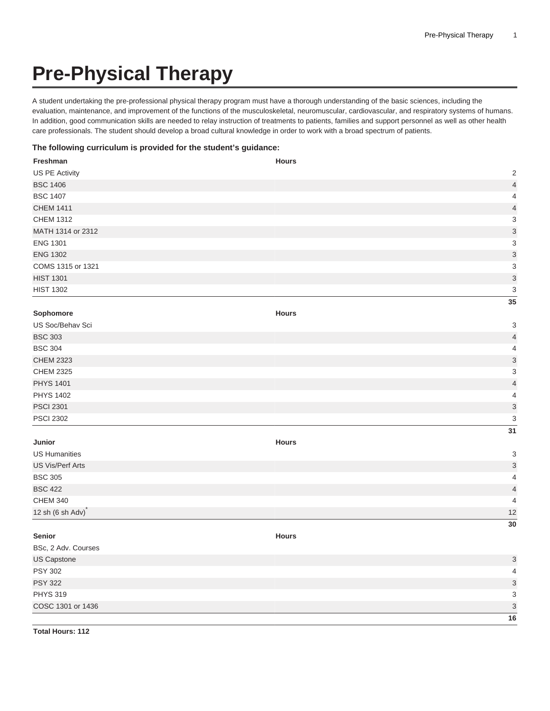## **Pre-Physical Therapy**

A student undertaking the pre-professional physical therapy program must have a thorough understanding of the basic sciences, including the evaluation, maintenance, and improvement of the functions of the musculoskeletal, neuromuscular, cardiovascular, and respiratory systems of humans. In addition, good communication skills are needed to relay instruction of treatments to patients, families and support personnel as well as other health care professionals. The student should develop a broad cultural knowledge in order to work with a broad spectrum of patients.

## **The following curriculum is provided for the student's guidance:**

| Freshman                   | <b>Hours</b>              |
|----------------------------|---------------------------|
| US PE Activity             | $\sqrt{2}$                |
| <b>BSC 1406</b>            | $\overline{\mathcal{L}}$  |
| <b>BSC 1407</b>            | $\overline{\mathbf{4}}$   |
| <b>CHEM 1411</b>           | $\overline{\mathcal{L}}$  |
| <b>CHEM 1312</b>           | 3                         |
| MATH 1314 or 2312          | $\overline{3}$            |
| <b>ENG 1301</b>            | $\,$ 3 $\,$               |
| <b>ENG 1302</b>            | 3                         |
| COMS 1315 or 1321          | 3                         |
| <b>HIST 1301</b>           | 3                         |
| <b>HIST 1302</b>           | 3                         |
|                            | 35                        |
| Sophomore                  | <b>Hours</b>              |
| US Soc/Behav Sci           | $\ensuremath{\mathsf{3}}$ |
| <b>BSC 303</b>             | $\overline{\mathbf{4}}$   |
| <b>BSC 304</b>             | $\overline{\mathbf{4}}$   |
| <b>CHEM 2323</b>           | 3                         |
| <b>CHEM 2325</b>           | $\ensuremath{\mathsf{3}}$ |
| <b>PHYS 1401</b>           | $\overline{4}$            |
| <b>PHYS 1402</b>           | $\overline{\mathbf{4}}$   |
| <b>PSCI 2301</b>           | 3                         |
| <b>PSCI 2302</b>           | $\ensuremath{\mathsf{3}}$ |
|                            | 31                        |
| Junior                     | <b>Hours</b>              |
| <b>US Humanities</b>       | 3                         |
| <b>US Vis/Perf Arts</b>    | 3                         |
| <b>BSC 305</b>             | 4                         |
| <b>BSC 422</b>             | $\overline{\mathcal{L}}$  |
| <b>CHEM 340</b>            | $\overline{\mathcal{L}}$  |
| 12 sh $(6 \text{ sh Adv})$ | 12                        |
|                            | 30                        |
| Senior                     | <b>Hours</b>              |
| BSc, 2 Adv. Courses        |                           |
| US Capstone                | $\ensuremath{\mathsf{3}}$ |
| <b>PSY 302</b>             | 4                         |
| <b>PSY 322</b>             | $\ensuremath{\mathsf{3}}$ |
| <b>PHYS 319</b>            | $\ensuremath{\mathsf{3}}$ |
| COSC 1301 or 1436          | 3                         |
|                            | $\overline{16}$           |

**Total Hours: 112**